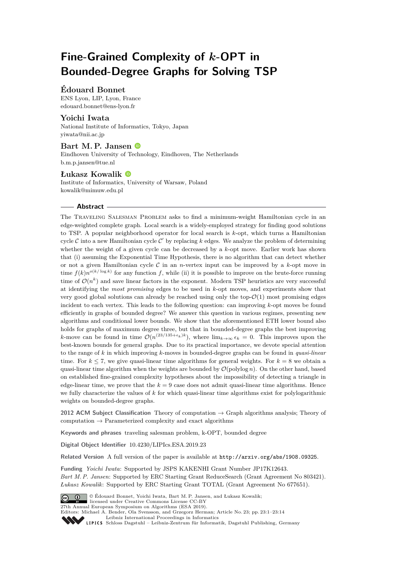# **Fine-Grained Complexity of** *k***-OPT in Bounded-Degree Graphs for Solving TSP**

# **Édouard Bonnet**

ENS Lyon, LIP, Lyon, France [edouard.bonnet@ens-lyon.fr](mailto:edouard.bonnet@ens-lyon.fr)

# **Yoichi Iwata**

National Institute of Informatics, Tokyo, Japan [yiwata@nii.ac.jp](mailto:yiwata@nii.ac.jp)

# **Bart M. P. Jansen**

Eindhoven University of Technology, Eindhoven, The Netherlands [b.m.p.jansen@tue.nl](mailto:b.m.p.jansen@tue.nl)

#### **Łukasz Kowalik**

Institute of Informatics, University of Warsaw, Poland [kowalik@mimuw.edu.pl](mailto:kowalik@mimuw.edu.pl)

#### **Abstract**

The Traveling Salesman Problem asks to find a minimum-weight Hamiltonian cycle in an edge-weighted complete graph. Local search is a widely-employed strategy for finding good solutions to TSP. A popular neighborhood operator for local search is *k*-opt, which turns a Hamiltonian cycle  $C$  into a new Hamiltonian cycle  $C'$  by replacing  $k$  edges. We analyze the problem of determining whether the weight of a given cycle can be decreased by a *k*-opt move. Earlier work has shown that (i) assuming the Exponential Time Hypothesis, there is no algorithm that can detect whether or not a given Hamiltonian cycle C in an *n*-vertex input can be improved by a *k*-opt move in time  $f(k)n^{o(k/\log k)}$  for any function f, while (ii) it is possible to improve on the brute-force running time of  $\mathcal{O}(n^k)$  and save linear factors in the exponent. Modern TSP heuristics are very successful at identifying the *most promising* edges to be used in *k*-opt moves, and experiments show that very good global solutions can already be reached using only the top- $\mathcal{O}(1)$  most promising edges incident to each vertex. This leads to the following question: can improving *k*-opt moves be found efficiently in graphs of bounded degree? We answer this question in various regimes, presenting new algorithms and conditional lower bounds. We show that the aforementioned ETH lower bound also holds for graphs of maximum degree three, but that in bounded-degree graphs the best improving *k*-move can be found in time  $\mathcal{O}(n^{(23/135+\epsilon_k)k})$ , where  $\lim_{k\to\infty} \epsilon_k = 0$ . This improves upon the best-known bounds for general graphs. Due to its practical importance, we devote special attention to the range of *k* in which improving *k*-moves in bounded-degree graphs can be found in *quasi-linear* time. For  $k \leq 7$ , we give quasi-linear time algorithms for general weights. For  $k = 8$  we obtain a quasi-linear time algorithm when the weights are bounded by  $\mathcal{O}(\text{polylog } n)$ . On the other hand, based on established fine-grained complexity hypotheses about the impossibility of detecting a triangle in edge-linear time, we prove that the  $k = 9$  case does not admit quasi-linear time algorithms. Hence we fully characterize the values of *k* for which quasi-linear time algorithms exist for polylogarithmic weights on bounded-degree graphs.

**2012 ACM Subject Classification** Theory of computation → Graph algorithms analysis; Theory of computation  $\rightarrow$  Parameterized complexity and exact algorithms

**Keywords and phrases** traveling salesman problem, k-OPT, bounded degree

**Digital Object Identifier** [10.4230/LIPIcs.ESA.2019.23](https://doi.org/10.4230/LIPIcs.ESA.2019.23)

**Related Version** A full version of the paper is available at <http://arxiv.org/abs/1908.09325>.

**Funding** *Yoichi Iwata*: Supported by JSPS KAKENHI Grant Number JP17K12643. *Bart M. P. Jansen*: Supported by ERC Starting Grant ReduceSearch (Grant Agreement No 803421). *Łukasz Kowalik*: Supported by ERC Starting Grant TOTAL (Grant Agreement No 677651).



© Édouard Bonnet, Yoichi Iwata, Bart M. P. Jansen, and Łukasz Kowalik;

licensed under Creative Commons License CC-BY 27th Annual European Symposium on Algorithms (ESA 2019).

Editors: Michael A. Bender, Ola Svensson, and Grzegorz Herman; Article No. 23; pp. 23:1–23[:14](#page-13-0)

[Leibniz International Proceedings in Informatics](https://www.dagstuhl.de/lipics/)

[Schloss Dagstuhl – Leibniz-Zentrum für Informatik, Dagstuhl Publishing, Germany](https://www.dagstuhl.de)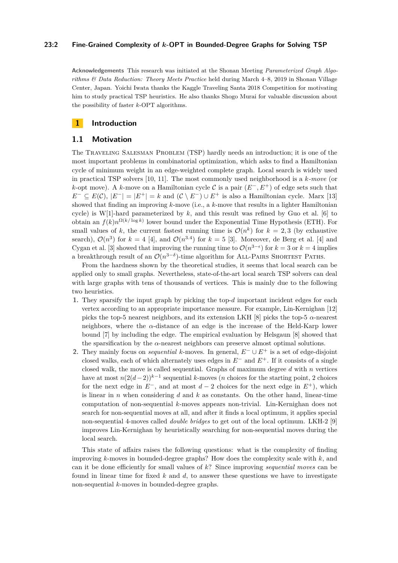## **23:2 Fine-Grained Complexity of** *k***-OPT in Bounded-Degree Graphs for Solving TSP**

**Acknowledgements** This research was initiated at the Shonan Meeting *Parameterized Graph Algorithms & Data Reduction: Theory Meets Practice* held during March 4–8, 2019 in Shonan Village Center, Japan. Yoichi Iwata thanks the Kaggle Traveling Santa 2018 Competition for motivating him to study practical TSP heuristics. He also thanks Shogo Murai for valuable discussion about the possibility of faster *k*-OPT algorithms.

# **1 Introduction**

## **1.1 Motivation**

The Traveling Salesman Problem (TSP) hardly needs an introduction; it is one of the most important problems in combinatorial optimization, which asks to find a Hamiltonian cycle of minimum weight in an edge-weighted complete graph. Local search is widely used in practical TSP solvers [\[10,](#page-13-1) [11\]](#page-13-2). The most commonly used neighborhood is a *k-move* (or *k*-opt move). A *k*-move on a Hamiltonian cycle C is a pair (*E*−*, E*<sup>+</sup>) of edge sets such that *E*<sup>−</sup> ⊂ *E*(C),  $|E^{-}| = |E^{+}| = k$  and  $(C \setminus E^{-}) \cup E^{+}$  is also a Hamiltonian cycle. Marx [\[13\]](#page-13-3) showed that finding an improving *k*-move (i.e., a *k*-move that results in a lighter Hamiltonian cycle) is W[1]-hard parameterized by  $k$ , and this result was refined by Guo et al. [\[6\]](#page-13-4) to obtain an  $f(k)n^{\Omega(k/\log k)}$  lower bound under the Exponential Time Hypothesis (ETH). For small values of k, the current fastest running time is  $\mathcal{O}(n^k)$  for  $k = 2,3$  (by exhaustive search),  $\mathcal{O}(n^3)$  for  $k = 4$  [\[4\]](#page-13-5), and  $\mathcal{O}(n^{3.4})$  for  $k = 5$  [\[3\]](#page-13-6). Moreover, de Berg et al. [4] and Cygan et al. [\[3\]](#page-13-6) showed that improving the running time to  $\mathcal{O}(n^{3-\epsilon})$  for  $k=3$  or  $k=4$  implies a breakthrough result of an  $\mathcal{O}(n^{3-\delta})$ -time algorithm for ALL-PAIRS SHORTEST PATHS.

From the hardness shown by the theoretical studies, it seems that local search can be applied only to small graphs. Nevertheless, state-of-the-art local search TSP solvers can deal with large graphs with tens of thousands of vertices. This is mainly due to the following two heuristics.

- **1.** They sparsify the input graph by picking the top-*d* important incident edges for each vertex according to an appropriate importance measure. For example, Lin-Kernighan [\[12\]](#page-13-7) picks the top-5 nearest neighbors, and its extension LKH [\[8\]](#page-13-8) picks the top-5  $\alpha$ -nearest neighbors, where the *α*-distance of an edge is the increase of the Held-Karp lower bound [\[7\]](#page-13-9) by including the edge. The empirical evaluation by Helsgaun [\[8\]](#page-13-8) showed that the sparsification by the  $\alpha$ -nearest neighbors can preserve almost optimal solutions.
- **2.** They mainly focus on *sequential k*-moves. In general, *E*<sup>−</sup> ∪ *E*<sup>+</sup> is a set of edge-disjoint closed walks, each of which alternately uses edges in *E*<sup>−</sup> and *E*<sup>+</sup>. If it consists of a single closed walk, the move is called sequential. Graphs of maximum degree *d* with *n* vertices have at most  $n(2(d-2))^{k-1}$  sequential *k*-moves (*n* choices for the starting point, 2 choices for the next edge in  $E^-$ , and at most  $d-2$  choices for the next edge in  $E^+$ ), which is linear in *n* when considering *d* and *k* as constants. On the other hand, linear-time computation of non-sequential *k*-moves appears non-trivial. Lin-Kernighan does not search for non-sequential moves at all, and after it finds a local optimum, it applies special non-sequential 4-moves called *double bridges* to get out of the local optimum. LKH-2 [\[9\]](#page-13-10) improves Lin-Kernighan by heuristically searching for non-sequential moves during the local search.

This state of affairs raises the following questions: what is the complexity of finding improving *k*-moves in bounded-degree graphs? How does the complexity scale with *k*, and can it be done efficiently for small values of *k*? Since improving *sequential moves* can be found in linear time for fixed *k* and *d*, to answer these questions we have to investigate non-sequential *k*-moves in bounded-degree graphs.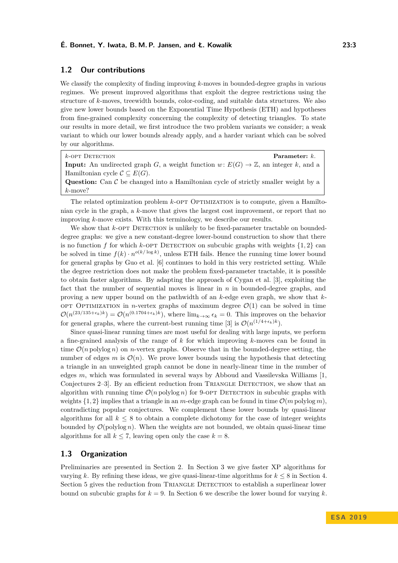# **1.2 Our contributions**

We classify the complexity of finding improving *k*-moves in bounded-degree graphs in various regimes. We present improved algorithms that exploit the degree restrictions using the structure of *k*-moves, treewidth bounds, color-coding, and suitable data structures. We also give new lower bounds based on the Exponential Time Hypothesis (ETH) and hypotheses from fine-grained complexity concerning the complexity of detecting triangles. To state our results in more detail, we first introduce the two problem variants we consider; a weak variant to which our lower bounds already apply, and a harder variant which can be solved by our algorithms.

| $k$ -OPT DETECTION                                                                                    | Parameter: $k$ . |
|-------------------------------------------------------------------------------------------------------|------------------|
| <b>Input:</b> An undirected graph G, a weight function $w: E(G) \to \mathbb{Z}$ , an integer k, and a |                  |
| Hamiltonian cycle $\mathcal{C} \subseteq E(G)$ .                                                      |                  |
| <b>Question:</b> Can $\mathcal C$ be changed into a Hamiltonian cycle of strictly smaller weight by a |                  |
| $k$ -move?                                                                                            |                  |

The related optimization problem *k*-OPT OPTIMIZATION is to compute, given a Hamiltonian cycle in the graph, a *k*-move that gives the largest cost improvement, or report that no improving *k*-move exists. With this terminology, we describe our results.

We show that *k*-OPT DETECTION is unlikely to be fixed-parameter tractable on boundeddegree graphs: we give a new constant-degree lower-bound construction to show that there is no function *f* for which *k*-OPT DETECTION on subcubic graphs with weights  $\{1, 2\}$  can be solved in time  $f(k) \cdot n^{o(k/\log k)}$ , unless ETH fails. Hence the running time lower bound for general graphs by Guo et al. [\[6\]](#page-13-4) continues to hold in this very restricted setting. While the degree restriction does not make the problem fixed-parameter tractable, it is possible to obtain faster algorithms. By adapting the approach of Cygan et al. [\[3\]](#page-13-6), exploiting the fact that the number of sequential moves is linear in *n* in bounded-degree graphs, and proving a new upper bound on the pathwidth of an *k*-edge even graph, we show that *k*optimization in *n*-vertex graphs of maximum degree  $\mathcal{O}(1)$  can be solved in time  $\mathcal{O}(n^{(23/135+\epsilon_k)k}) = \mathcal{O}(n^{(0.1704+\epsilon_k)k})$ , where  $\lim_{k\to\infty} \epsilon_k = 0$ . This improves on the behavior for general graphs, where the current-best running time [\[3\]](#page-13-6) is  $\mathcal{O}(n^{(1/4+\epsilon_k)k})$ .

Since quasi-linear running times are most useful for dealing with large inputs, we perform a fine-grained analysis of the range of *k* for which improving *k*-moves can be found in time  $\mathcal{O}(n \text{ polylog } n)$  on *n*-vertex graphs. Observe that in the bounded-degree setting, the number of edges *m* is  $\mathcal{O}(n)$ . We prove lower bounds using the hypothesis that detecting a triangle in an unweighted graph cannot be done in nearly-linear time in the number of edges *m*, which was formulated in several ways by Abboud and Vassilevska Williams [\[1,](#page-13-11) Conjectures 2–3. By an efficient reduction from TRIANGLE DETECTION, we show that an algorithm with running time  $\mathcal{O}(n \text{ polylog } n)$  for 9-OPT DETECTION in subcubic graphs with weights  $\{1, 2\}$  implies that a triangle in an *m*-edge graph can be found in time  $\mathcal{O}(m)$  polylog *m*), contradicting popular conjectures. We complement these lower bounds by quasi-linear algorithms for all  $k \leq 8$  to obtain a complete dichotomy for the case of integer weights bounded by  $\mathcal{O}(\text{polylog } n)$ . When the weights are not bounded, we obtain quasi-linear time algorithms for all  $k \leq 7$ , leaving open only the case  $k = 8$ .

## **1.3 Organization**

Preliminaries are presented in Section [2.](#page-3-0) In Section [3](#page-4-0) we give faster XP algorithms for varying *k*. By refining these ideas, we give quasi-linear-time algorithms for  $k \leq 8$  in Section [4.](#page-6-0) Section [5](#page-8-0) gives the reduction from TRIANGLE DETECTION to establish a superlinear lower bound on subcubic graphs for  $k = 9$ . In Section [6](#page-12-0) we describe the lower bound for varying k.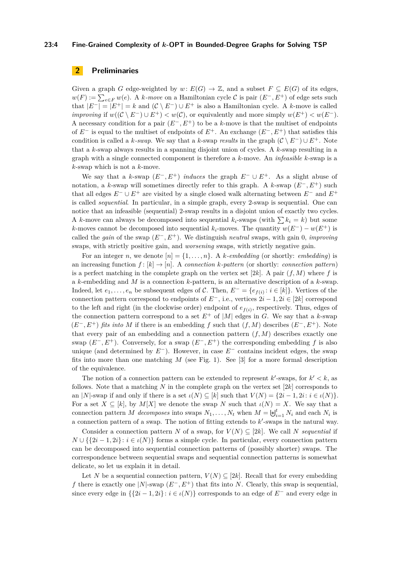#### **23:4 Fine-Grained Complexity of** *k***-OPT in Bounded-Degree Graphs for Solving TSP**

# <span id="page-3-0"></span>**2 Preliminaries**

Given a graph *G* edge-weighted by  $w: E(G) \to \mathbb{Z}$ , and a subset  $F \subseteq E(G)$  of its edges,  $w(F) := \sum_{e \in F} w(e)$ . A *k-move* on a Hamiltonian cycle C is pair  $(E^-, E^+)$  of edge sets such that  $|E^{-}| = |E^{+}| = k$  and  $(\mathcal{C} \setminus E^{-}) \cup E^{+}$  is also a Hamiltonian cycle. A *k*-move is called *improving* if  $w((\mathcal{C} \setminus E^-) \cup E^+) < w(\mathcal{C})$ , or equivalently and more simply  $w(E^+) < w(E^-)$ . A necessary condition for a pair (*E*−*, E*<sup>+</sup>) to be a *k*-move is that the multiset of endpoints of *E*<sup>−</sup> is equal to the multiset of endpoints of *E*<sup>+</sup>. An exchange (*E*−*, E*<sup>+</sup>) that satisfies this condition is called a *k*-swap. We say that a *k*-swap *results* in the graph  $(C \setminus E^-) \cup E^+$ . Note that a *k*-swap always results in a spanning disjoint union of cycles. A *k*-swap resulting in a graph with a single connected component is therefore a *k*-move. An *infeasible k*-swap is a *k*-swap which is not a *k*-move.

We say that a *k*-swap  $(E^-, E^+)$  *induces* the graph  $E^- \cup E^+$ . As a slight abuse of notation, a *k*-swap will sometimes directly refer to this graph. A *k*-swap (*E*−*, E*<sup>+</sup>) such that all edges  $E^- \cup E^+$  are visited by a single closed walk alternating between  $E^-$  and  $E^+$ is called *sequential*. In particular, in a simple graph, every 2-swap is sequential. One can notice that an infeasible (sequential) 2-swap results in a disjoint union of exactly two cycles. A *k*-move can always be decomposed into sequential  $k_i$ -swaps (with  $\sum k_i = k$ ) but some *k*-moves cannot be decomposed into sequential  $k_i$ -moves. The quantity  $w(E^-) - w(E^+)$  is called the *gain* of the swap (*E*<sup>−</sup>*, E*<sup>+</sup>). We distinguish *neutral* swaps, with gain 0, *improving* swaps, with strictly positive gain, and *worsening* swaps, with strictly negative gain.

For an integer *n*, we denote  $[n] = \{1, \ldots, n\}$ . A *k*-embedding (or shortly: *embedding*) is an increasing function  $f : [k] \to [n]$ . A *connection*  $k$ *-pattern* (or shortly: *connection pattern*) is a perfect matching in the complete graph on the vertex set  $[2k]$ . A pair  $(f, M)$  where f is a *k*-embedding and *M* is a connection *k*-pattern, is an alternative description of a *k*-swap. Indeed, let  $e_1, \ldots, e_n$  be subsequent edges of C. Then,  $E^- = \{e_{f(i)} : i \in [k]\}$ . Vertices of the connection pattern correspond to endpoints of  $E^-$ , i.e., vertices  $2i - 1$ ,  $2i \in [2k]$  correspond to the left and right (in the clockwise order) endpoint of  $e_{f(i)}$ , respectively. Thus, edges of the connection pattern correspond to a set  $E^+$  of  $|M|$  edges in *G*. We say that a *k*-swap  $(E^-, E^+)$  *fits into M* if there is an embedding *f* such that  $(f, M)$  describes  $(E^-, E^+)$ . Note that every pair of an embedding and a connection pattern (*f, M*) describes exactly one swap  $(E^-, E^+)$ . Conversely, for a swap  $(E^-, E^+)$  the corresponding embedding f is also unique (and determined by *E*<sup>−</sup>). However, in case *E*<sup>−</sup> contains incident edges, the swap fits into more than one matching *M* (see Fig. [1\)](#page-4-1). See [\[3\]](#page-13-6) for a more formal description of the equivalence.

The notion of a connection pattern can be extended to represent  $k'$ -swaps, for  $k' < k$ , as follows. Note that a matching *N* in the complete graph on the vertex set [2*k*] corresponds to an |*N*|-swap if and only if there is a set  $\iota(N) \subseteq [k]$  such that  $V(N) = \{2i - 1, 2i : i \in \iota(N)\}.$ For a set  $X \subseteq [k]$ , by  $M[X]$  we denote the swap  $N$  such that  $\iota(N) = X$ . We say that a connection pattern *M decomposes* into swaps  $N_1, \ldots, N_t$  when  $M = \biguplus_{i=1}^t N_i$  and each  $N_i$  is a connection pattern of a swap. The notion of fitting extends to  $k'$ -swaps in the natural way.

Consider a connection pattern *N* of a swap, for  $V(N) \subseteq [2k]$ . We call *N sequential* if *N* ∪ { ${2i-1, 2i}$ :  $i \in \iota(N)$ } forms a simple cycle. In particular, every connection pattern can be decomposed into sequential connection patterns of (possibly shorter) swaps. The correspondence between sequential swaps and sequential connection patterns is somewhat delicate, so let us explain it in detail.

Let *N* be a sequential connection pattern,  $V(N) \subseteq [2k]$ . Recall that for every embedding *f* there is exactly one |*N*|-swap (*E*<sup>−</sup>*, E*<sup>+</sup>) that fits into *N*. Clearly, this swap is sequential, since every edge in  $\{\{2i - 1, 2i\} : i \in \iota(N)\}\)$  corresponds to an edge of  $E^-$  and every edge in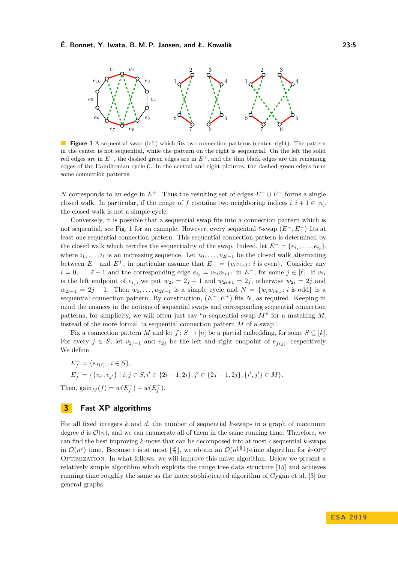#### **É. Bonnet, Y. Iwata, B. M. P. Jansen, and Ł. Kowalik 23:5**

<span id="page-4-1"></span>

**Figure 1** A sequential swap (left) which fits two connection patterns (center, right). The pattern in the center is not sequential, while the pattern on the right is sequential. On the left the solid red edges are in *E* <sup>−</sup>, the dashed green edges are in *E* <sup>+</sup>, and the thin black edges are the remaining edges of the Hamiltonian cycle  $C$ . In the central and right pictures, the dashed green edges form some connection patterns.

*N* corresponds to an edge in  $E^+$ . Thus the resulting set of edges  $E^- \cup E^+$  forms a single closed walk. In particular, if the image of *f* contains two neighboring indices  $i, i + 1 \in [n]$ , the closed walk is not a simple cycle.

Conversely, it is possible that a sequential swap fits into a connection pattern which is not sequential, see Fig. [1](#page-4-1) for an example. However, every sequential  $\ell$ -swap ( $E^-$ ,  $E^+$ ) fits at least one sequential connection pattern. This sequential connection pattern is determined by the closed walk which certifies the sequentiality of the swap. Indeed, let  $E^- = \{e_{i_1}, \ldots, e_{i_\ell}\},$ where  $i_1, \ldots, i_\ell$  is an increasing sequence. Let  $v_0, \ldots, v_{2\ell-1}$  be the closed walk alternating between  $E^-$  and  $E^+$ , in particular assume that  $E^- = \{v_i v_{i+1} : i \text{ is even}\}.$  Consider any *i* = 0,...,  $\ell$  − 1 and the corresponding edge  $e_{i_j} = v_{2i}v_{2i+1}$  in  $E^-$ , for some  $j \in [\ell]$ . If  $v_{2i}$ is the left endpoint of  $e_{i_j}$ , we put  $w_{2i} = 2j - 1$  and  $w_{2i+1} = 2j$ , otherwise  $w_{2i} = 2j$  and  $w_{2i+1} = 2j - 1$ . Then  $w_0, \ldots, w_{2\ell-1}$  is a simple cycle and  $N = \{w_i w_{i+1} : i \text{ is odd}\}\$ is a sequential connection pattern. By construction,  $(E^-, E^+)$  fits *N*, as required. Keeping in mind the nuances in the notions of sequential swaps and corresponding sequential connection patterns, for simplicity, we will often just say "a sequential swap *M*" for a matching *M*, instead of the more formal "a sequential connection pattern *M* of a swap".

Fix a connection pattern *M* and let  $f: S \to [n]$  be a partial embedding, for some  $S \subseteq [k]$ . For every  $j \in S$ , let  $v_{2j-1}$  and  $v_{2j}$  be the left and right endpoint of  $e_{f(j)}$ , respectively. We define

$$
E_f^- = \{e_{f(i)} \mid i \in S\},
$$
  
\n
$$
E_f^+ = \{\{v_{i'}, v_{j'}\} \mid i, j \in S, i' \in \{2i - 1, 2i\}, j' \in \{2j - 1, 2j\}, \{i', j'\} \in M\}.
$$
  
\nThen, 
$$
\text{gain}_M(f) = w(E_f^-) - w(E_f^+).
$$

# <span id="page-4-0"></span>**3 Fast XP algorithms**

<span id="page-4-2"></span>For all fixed integers *k* and *d*, the number of sequential *k*-swaps in a graph of maximum degree *d* is  $\mathcal{O}(n)$ , and we can enumerate all of them in the same running time. Therefore, we can find the best improving *k*-move that can be decomposed into at most *c* sequential *k*-swaps in  $\mathcal{O}(n^c)$  time. Because *c* is at most  $\lfloor \frac{k}{2} \rfloor$ , we obtain an  $\mathcal{O}(n^{\lfloor \frac{k}{2} \rfloor})$ -time algorithm for *k*-OPT Optimization. In what follows, we will improve this naive algorithm. Below we present a relatively simple algorithm which exploits the range tree data structure [\[15\]](#page-13-12) and achieves running time roughly the same as the more sophisticated algorithm of Cygan et al. [\[3\]](#page-13-6) for general graphs.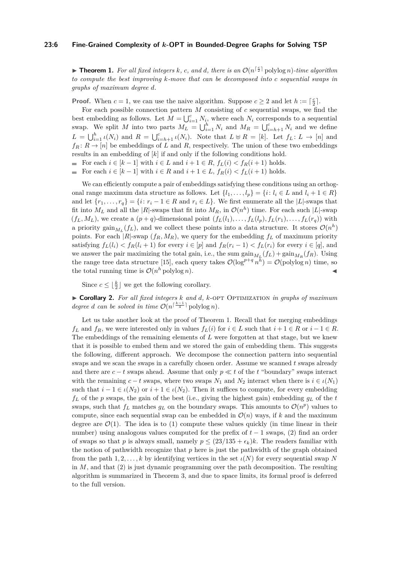#### **23:6 Fine-Grained Complexity of** *k***-OPT in Bounded-Degree Graphs for Solving TSP**

**Fheorem 1.** For all fixed integers k, c, and d, there is an  $\mathcal{O}(n^{\lceil \frac{c}{2} \rceil} \text{polylog } n)$ *-time algorithm to compute the best improving k-move that can be decomposed into c sequential swaps in graphs of maximum degree d.*

**Proof.** When  $c = 1$ , we can use the naive algorithm. Suppose  $c \geq 2$  and let  $h := \lceil \frac{c}{2} \rceil$ .

For each possible connection pattern *M* consisting of *c* sequential swaps, we find the best embedding as follows. Let  $M = \bigcup_{i=1}^{c} N_i$ , where each  $N_i$  corresponds to a sequential swap. We split *M* into two parts  $M_L = \bigcup_{i=1}^h N_i$  and  $M_R = \bigcup_{i=h+1}^c N_i$  and we define  $L = \bigcup_{i=1}^{h} \iota(N_i)$  and  $R = \bigcup_{i=h+1}^{c} \iota(N_i)$ . Note that  $L \uplus R = [k]$ . Let  $f_L: L \to [n]$  and  $f_R: R \to [n]$  be embeddings of *L* and *R*, respectively. The union of these two embeddings results in an embedding of [*k*] if and only if the following conditions hold.

For each  $i \in [k-1]$  with  $i \in L$  and  $i+1 \in R$ ,  $f_L(i) < f_R(i+1)$  holds.

For each  $i \in [k-1]$  with  $i \in R$  and  $i+1 \in L$ ,  $f_R(i) < f_L(i+1)$  holds.

We can efficiently compute a pair of embeddings satisfying these conditions using an orthogonal range maximum data structure as follows. Let  $\{l_1, \ldots, l_p\} = \{i : l_i \in L \text{ and } l_i + 1 \in R\}$ and let  $\{r_1, \ldots, r_q\} = \{i : r_i - 1 \in R \text{ and } r_i \in L\}$ . We first enumerate all the  $|L|$ -swaps that fit into  $M_L$  and all the |*R*|-swaps that fit into  $M_R$ , in  $\mathcal{O}(n^h)$  time. For each such |*L*|-swap  $(f_L, M_L)$ , we create a  $(p+q)$ -dimensional point  $(f_L(l_1), \ldots, f_L(l_p), f_L(r_1), \ldots, f_L(r_q))$  with a priority gain $_{M_L}(f_L)$ , and we collect these points into a data structure. It stores  $\mathcal{O}(n^h)$ points. For each  $|R|$ -swap  $(f_R, M_R)$ , we query for the embedding  $f_L$  of maximum priority satisfying  $f_L(l_i) < f_R(l_i+1)$  for every  $i \in [p]$  and  $f_R(r_i-1) < f_L(r_i)$  for every  $i \in [q]$ , and we answer the pair maximizing the total gain, i.e., the sum  $\text{gain}_{M_L}(f_L) + \text{gain}_{M_R}(f_R)$ . Using the range tree data structure [\[15\]](#page-13-12), each query takes  $\mathcal{O}(\log^{p+q} n^{\bar{h}}) = \mathcal{O}(\text{polylog} n)$  time, so the total running time is  $\mathcal{O}(n^h \text{ polylog } n)$ .

Since  $c \leq \lfloor \frac{k}{2} \rfloor$  we get the following corollary.

<span id="page-5-1"></span>I **Corollary 2.** *For all fixed integers k and d, k*-opt Optimization *in graphs of maximum degree d can be solved in time*  $\mathcal{O}(n^{\lceil \frac{k-1}{4} \rceil} \text{polylog } n)$ *.* 

<span id="page-5-0"></span>Let us take another look at the proof of Theorem [1.](#page-4-2) Recall that for merging embeddings *f*<sub>L</sub> and *f*<sub>R</sub>, we were interested only in values *f*<sub>L</sub>(*i*) for  $i \in L$  such that  $i + 1 \in R$  or  $i - 1 \in R$ . The embeddings of the remaining elements of *L* were forgotten at that stage, but we knew that it is possible to embed them and we stored the gain of embedding them. This suggests the following, different approach. We decompose the connection pattern into sequential swaps and we scan the swaps in a carefully chosen order. Assume we scanned *t* swaps already and there are  $c - t$  swaps ahead. Assume that only  $p \ll t$  of the  $t$  "boundary" swaps interact with the remaining  $c - t$  swaps, where two swaps  $N_1$  and  $N_2$  interact when there is  $i \in i(N_1)$ such that  $i - 1 \in \iota(N_2)$  or  $i + 1 \in \iota(N_2)$ . Then it suffices to compute, for every embedding  $f_L$  of the *p* swaps, the gain of the best (i.e., giving the highest gain) embedding  $g_L$  of the  $t$ swaps, such that  $f_L$  matches  $g_L$  on the boundary swaps. This amounts to  $\mathcal{O}(n^p)$  values to compute, since each sequential swap can be embedded in  $\mathcal{O}(n)$  ways, if k and the maximum degree are  $\mathcal{O}(1)$ . The idea is to (1) compute these values quickly (in time linear in their number) using analogous values computed for the prefix of *t* − 1 swaps, (2) find an order of swaps so that *p* is always small, namely  $p \leq (23/135 + \epsilon_k)k$ . The readers familiar with the notion of pathwidth recognize that *p* here is just the pathwidth of the graph obtained from the path 1, 2, ..., k by identifying vertices in the set  $\iota(N)$  for every sequential swap N in *M*, and that (2) is just dynamic programming over the path decomposition. The resulting algorithm is summarized in Theorem [3,](#page-5-0) and due to space limits, its formal proof is deferred to the full version.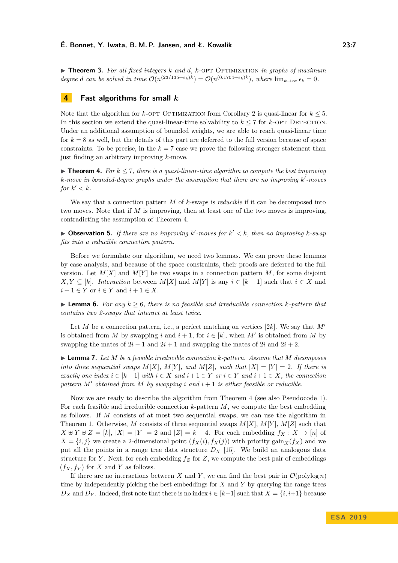I **Theorem 3.** *For all fixed integers k and d, k*-opt Optimization *in graphs of maximum degree d can be solved in time*  $\mathcal{O}(n^{(23/135+\epsilon_k)k}) = \mathcal{O}(n^{(0.1704+\epsilon_k)k})$ , where  $\lim_{k\to\infty} \epsilon_k = 0$ .

## <span id="page-6-0"></span>**4 Fast algorithms for small** *k*

Note that the algorithm for  $k$ -OPT OPTIMIZATION from Corollary [2](#page-5-1) is quasi-linear for  $k \leq 5$ . In this section we extend the quasi-linear-time solvability to  $k \leq 7$  for  $k$ -OPT DETECTION. Under an additional assumption of bounded weights, we are able to reach quasi-linear time for  $k = 8$  as well, but the details of this part are deferred to the full version because of space constraints. To be precise, in the  $k = 7$  case we prove the following stronger statement than just finding an arbitrary improving *k*-move.

<span id="page-6-1"></span> $\triangleright$  **Theorem 4.** For  $k \leq 7$ , there is a quasi-linear-time algorithm to compute the best improving *k*-move in bounded-degree graphs under the assumption that there are no improving k'-moves for  $k' < k$ .

We say that a connection pattern *M* of *k*-swaps is *reducible* if it can be decomposed into two moves. Note that if *M* is improving, then at least one of the two moves is improving, contradicting the assumption of Theorem [4.](#page-6-1)

 $\triangleright$  **Observation 5.** If there are no improving  $k'$ -moves for  $k' < k$ , then no improving  $k$ -swap *fits into a reducible connection pattern.*

Before we formulate our algorithm, we need two lemmas. We can prove these lemmas by case analysis, and because of the space constraints, their proofs are deferred to the full version. Let  $M[X]$  and  $M[Y]$  be two swaps in a connection pattern  $M$ , for some disjoint *X,Y* ⊆ [*k*]. *Interaction* between *M*[*X*] and *M*[*Y*] is any *i* ∈ [*k* − 1] such that *i* ∈ *X* and  $i + 1 \in Y$  or  $i \in Y$  and  $i + 1 \in X$ .

<span id="page-6-2"></span>▶ **Lemma 6.** For any  $k \geq 6$ , there is no feasible and irreducible connection  $k$ -pattern that *contains two 2-swaps that interact at least twice.*

Let *M* be a connection pattern, i.e., a perfect matching on vertices [2*k*]. We say that  $M'$ is obtained from *M* by swapping *i* and  $i + 1$ , for  $i \in [k]$ , when *M'* is obtained from *M* by swapping the mates of  $2i - 1$  and  $2i + 1$  and swapping the mates of  $2i$  and  $2i + 2$ .

<span id="page-6-3"></span>I **Lemma 7.** *Let M be a feasible irreducible connection k-pattern. Assume that M decomposes into three sequential swaps*  $M[X]$ *,*  $M[Y]$ *, and*  $M[Z]$ *, such that*  $|X| = |Y| = 2$ *. If there is exactly one index*  $i \in [k-1]$  *with*  $i \in X$  *and*  $i+1 \in Y$  *or*  $i \in Y$  *and*  $i+1 \in X$ *, the connection pattern*  $M'$  *obtained from*  $M$  *by swapping i* and  $i + 1$  *is either feasible or reducible.* 

Now we are ready to describe the algorithm from Theorem [4](#page-6-1) (see also Pseudocode [1\)](#page-7-0). For each feasible and irreducible connection *k*-pattern *M*, we compute the best embedding as follows. If *M* consists of at most two sequential swaps, we can use the algorithm in Theorem [1.](#page-4-2) Otherwise, *M* consists of three sequential swaps  $M[X], M[Y], M[Z]$  such that *X*  $\uplus$  *Y*  $\uplus$  *Z* = [*k*], |*X*| = |*Y*| = 2 and |*Z*| = *k* − 4. For each embedding  $f_X : X \to [n]$  of  $X = \{i, j\}$  we create a 2-dimensional point  $(f_X(i), f_X(j))$  with priority gain<sub>*X*</sub>(*f<sub>X</sub>*) and we put all the points in a range tree data structure  $D_X$  [\[15\]](#page-13-12). We build an analogous data structure for *Y*. Next, for each embedding  $f_Z$  for  $Z$ , we compute the best pair of embeddings  $(f_X, f_Y)$  for *X* and *Y* as follows.

If there are no interactions between *X* and *Y*, we can find the best pair in  $\mathcal{O}(\text{polylog } n)$ time by independently picking the best embeddings for *X* and *Y* by querying the range trees *DX* and *DY*. Indeed, first note that there is no index  $i \in [k-1]$  such that  $X = \{i, i+1\}$  because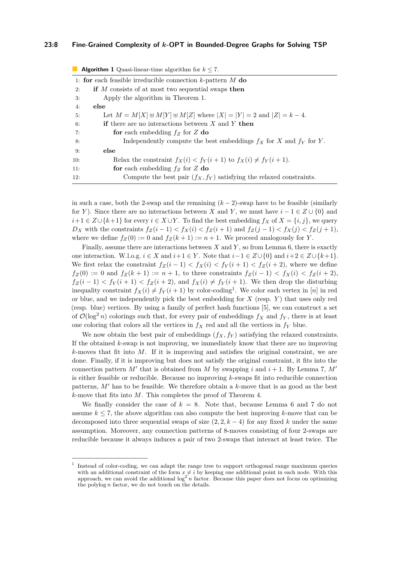#### **23:8 Fine-Grained Complexity of** *k***-OPT in Bounded-Degree Graphs for Solving TSP**

<span id="page-7-0"></span>

| <b>Algorithm 1</b> Quasi-linear-time algorithm for $k \le 7$ . |                                                                                  |  |
|----------------------------------------------------------------|----------------------------------------------------------------------------------|--|
|                                                                | 1: for each feasible irreducible connection $k$ -pattern $M$ do                  |  |
| 2:                                                             | if M consists of at most two sequential swaps then                               |  |
| 3:                                                             | Apply the algorithm in Theorem 1.                                                |  |
| 4:                                                             | else                                                                             |  |
| 5:                                                             | Let $M = M[X] \oplus M[Y] \oplus M[Z]$ where $ X  =  Y  = 2$ and $ Z  = k - 4$ . |  |
| 6:                                                             | <b>if</b> there are no interactions between X and Y then                         |  |
| 7:                                                             | for each embedding $f_Z$ for Z do                                                |  |
| 8:                                                             | Independently compute the best embeddings $f_X$ for X and $f_Y$ for Y.           |  |
| 9:                                                             | else                                                                             |  |
| 10:                                                            | Relax the constraint $f_X(i) < f_Y(i+1)$ to $f_X(i) \neq f_Y(i+1)$ .             |  |
| 11:                                                            | for each embedding $f_Z$ for Z do                                                |  |
| 12:                                                            | Compute the best pair $(f_X, f_Y)$ satisfying the relaxed constraints.           |  |

in such a case, both the 2-swap and the remaining  $(k-2)$ -swap have to be feasible (similarly for *Y*). Since there are no interactions between *X* and *Y*, we must have  $i - 1 \in Z \cup \{0\}$  and *i*+1 ∈ *Z*∪{*k*+1} for every *i* ∈ *X* ∪*Y*. To find the best embedding *fX* of *X* = {*i, j*}, we query  $D_X$  with the constraints  $f_Z(i-1) < f_X(i) < f_Z(i+1)$  and  $f_Z(j-1) < f_X(j) < f_Z(j+1)$ , where we define  $f_Z(0) := 0$  and  $f_Z(k+1) := n+1$ . We proceed analogously for *Y*.

Finally, assume there are interactions between *X* and *Y* , so from Lemma [6,](#page-6-2) there is exactly one interaction. W.l.o.g.  $i \in X$  and  $i+1 \in Y$ . Note that  $i-1 \in Z \cup \{0\}$  and  $i+2 \in Z \cup \{k+1\}$ . We first relax the constraint  $f_Z(i-1) < f_X(i) < f_Y(i+1) < f_Z(i+2)$ , where we define  $f_Z(0) := 0$  and  $f_Z(k+1) := n+1$ , to three constraints  $f_Z(i-1) < f_X(i) < f_Z(i+2)$ ,  $f_Z(i-1) < f_Y(i+1) < f_Z(i+2)$ , and  $f_X(i) \neq f_Y(i+1)$ . We then drop the disturbing inequality constraint  $f_X(i) \neq f_Y(i+1)$  $f_X(i) \neq f_Y(i+1)$  $f_X(i) \neq f_Y(i+1)$  by color-coding<sup>1</sup>. We color each vertex in [*n*] in red or blue, and we independently pick the best embedding for *X* (resp. *Y* ) that uses only red (resp. blue) vertices. By using a family of perfect hash functions [\[5\]](#page-13-13), we can construct a set of  $\mathcal{O}(\log^2 n)$  colorings such that, for every pair of embeddings  $f_X$  and  $f_Y$ , there is at least one coloring that colors all the vertices in  $f_X$  red and all the vertices in  $f_Y$  blue.

We now obtain the best pair of embeddings  $(f_X, f_Y)$  satisfying the relaxed constraints. If the obtained *k*-swap is not improving, we immediately know that there are no improving *k*-moves that fit into *M*. If it is improving and satisfies the original constraint, we are done. Finally, if it is improving but does not satisfy the original constraint, it fits into the connection pattern  $M'$  that is obtained from  $M$  by swapping  $i$  and  $i + 1$ . By Lemma [7,](#page-6-3)  $M'$ is either feasible or reducible. Because no improving *k*-swaps fit into reducible connection patterns,  $M'$  has to be feasible. We therefore obtain a  $k$ -move that is as good as the best *k*-move that fits into *M*. This completes the proof of Theorem [4.](#page-6-1)

We finally consider the case of  $k = 8$ . Note that, because Lemma [6](#page-6-2) and [7](#page-6-3) do not assume  $k \leq 7$ , the above algorithm can also compute the best improving  $k$ -move that can be decomposed into three sequential swaps of size  $(2, 2, k - 4)$  for any fixed k under the same assumption. Moreover, any connection patterns of 8-moves consisting of four 2-swaps are reducible because it always induces a pair of two 2-swaps that interact at least twice. The

<span id="page-7-1"></span><sup>1</sup> Instead of color-coding, we can adapt the range tree to support orthogonal range maximum queries with an additional constraint of the form  $x \neq i$  by keeping one additional point in each node. With this approach, we can avoid the additional  $\log^2 n$  factor. Because this paper does not focus on optimizing the polylog *n* factor, we do not touch on the details.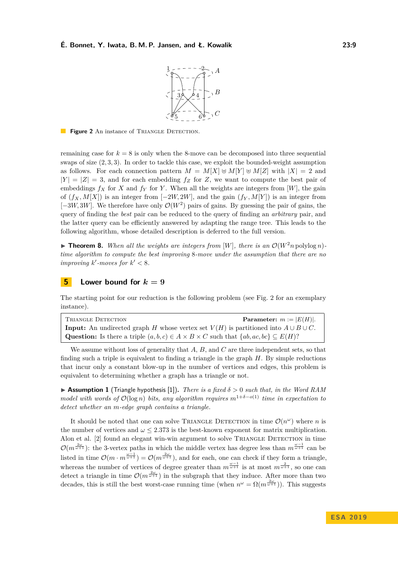

<span id="page-8-1"></span>**Figure 2** An instance of TRIANGLE DETECTION.

remaining case for  $k = 8$  is only when the 8-move can be decomposed into three sequential swaps of size (2*,* 3*,* 3). In order to tackle this case, we exploit the bounded-weight assumption as follows. For each connection pattern  $M = M[X] \oplus M[Y] \oplus M[Z]$  with  $|X| = 2$  and  $|Y| = |Z| = 3$ , and for each embedding  $f_Z$  for  $Z$ , we want to compute the best pair of embeddings  $f_X$  for *X* and  $f_Y$  for *Y*. When all the weights are integers from [*W*], the gain of  $(f_X, M[X])$  is an integer from  $[-2W, 2W]$ , and the gain  $(f_Y, M[Y])$  is an integer from  $[-3W, 3W]$ . We therefore have only  $\mathcal{O}(W^2)$  pairs of gains. By guessing the pair of gains, the query of finding the *best* pair can be reduced to the query of finding an *arbitrary* pair, and the latter query can be efficiently answered by adapting the range tree. This leads to the following algorithm, whose detailed description is deferred to the full version.

 $\blacktriangleright$  **Theorem 8.** When all the weights are integers from [W], there is an  $\mathcal{O}(W^2 n \text{ polylog } n)$ *time algorithm to compute the best improving* 8*-move under the assumption that there are no improving*  $k'$ -moves for  $k' < 8$ .

## <span id="page-8-0"></span>**5 Lower bound for**  $k = 9$

The starting point for our reduction is the following problem (see Fig. [2](#page-8-1) for an exemplary instance).

| TRIANGLE DETECTION                                                                                                 | <b>Parameter:</b> $m :=  E(H) $ . |
|--------------------------------------------------------------------------------------------------------------------|-----------------------------------|
| <b>Input:</b> An undirected graph H whose vertex set $V(H)$ is partitioned into $A \cup B \cup C$ .                |                                   |
| <b>Question:</b> Is there a triple $(a, b, c) \in A \times B \times C$ such that $\{ab, ac, bc\} \subseteq E(H)$ ? |                                   |

We assume without loss of generality that *A*, *B*, and *C* are three independent sets, so that finding such a triple is equivalent to finding a triangle in the graph *H*. By simple reductions that incur only a constant blow-up in the number of vertices and edges, this problem is equivalent to determining whether a graph has a triangle or not.

I **Assumption 1** (Triangle hypothesis [\[1\]](#page-13-11))**.** *There is a fixed δ >* 0 *such that, in the Word RAM model with words of*  $\mathcal{O}(\log n)$  *bits, any algorithm requires*  $m^{1+\delta-o(1)}$  *time in expectation to detect whether an m-edge graph contains a triangle.*

It should be noted that one can solve TRIANGLE DETECTION in time  $\mathcal{O}(n^{\omega})$  where *n* is the number of vertices and  $\omega \leq 2.373$  is the best-known exponent for matrix multiplication. Alon et al. [\[2\]](#page-13-14) found an elegant win-win argument to solve TRIANGLE DETECTION in time  $\mathcal{O}(m^{\frac{2\omega}{\omega+1}})$ : the 3-vertex paths in which the middle vertex has degree less than  $m^{\frac{\omega-1}{\omega+1}}$  can be listed in time  $\mathcal{O}(m \cdot m^{\frac{\omega-1}{\omega+1}}) = \mathcal{O}(m^{\frac{2\omega}{\omega+1}})$ , and for each, one can check if they form a triangle, whereas the number of vertices of degree greater than  $m^{\frac{\omega-1}{\omega+1}}$  is at most  $m^{\frac{2}{\omega+1}}$ , so one can detect a triangle in time  $\mathcal{O}(m^{\frac{2\omega}{\omega+1}})$  in the subgraph that they induce. After more than two decades, this is still the best worst-case running time (when  $n^{\omega} = \Omega(m^{\frac{2\omega}{\omega+1}})$ ). This suggests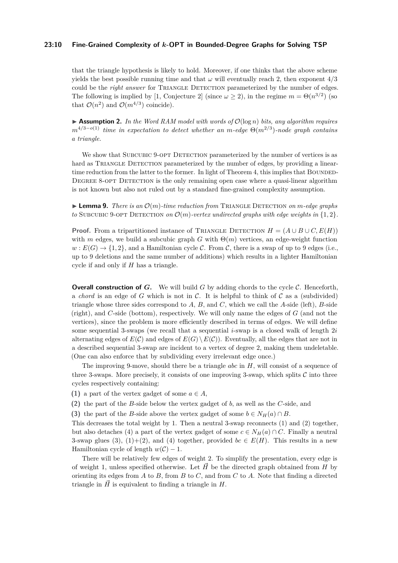#### **23:10 Fine-Grained Complexity of** *k***-OPT in Bounded-Degree Graphs for Solving TSP**

that the triangle hypothesis is likely to hold. Moreover, if one thinks that the above scheme yields the best possible running time and that  $\omega$  will eventually reach 2, then exponent  $4/3$ could be the *right answer* for TRIANGLE DETECTION parameterized by the number of edges. The following is implied by [\[1,](#page-13-11) Conjecture 2] (since  $\omega \geq 2$ ), in the regime  $m = \Theta(n^{3/2})$  (so that  $\mathcal{O}(n^2)$  and  $\mathcal{O}(m^{4/3})$  coincide).

 $\triangleright$  **Assumption 2.** *In the Word RAM model with words of*  $\mathcal{O}(\log n)$  *bits, any algorithm requires m*<sup>4</sup>*/*3−*o*(1) *time in expectation to detect whether an m-edge* Θ(*m*<sup>2</sup>*/*<sup>3</sup> )*-node graph contains a triangle.*

We show that SUBCUBIC 9-OPT DETECTION parameterized by the number of vertices is as hard as TRIANGLE DETECTION parameterized by the number of edges, by providing a linear-time reduction from the latter to the former. In light of Theorem [4,](#page-6-1) this implies that BOUNDED-DEGREE 8-OPT DETECTION is the only remaining open case where a quasi-linear algorithm is not known but also not ruled out by a standard fine-grained complexity assumption.

**Example 1.** *Lemma 9. There is an*  $\mathcal{O}(m)$ *-time reduction from* TRIANGLE DETECTION *on*  $m$ *-edge graphs to* SUBCUBIC 9-OPT DETECTION *on*  $\mathcal{O}(m)$ -vertex undirected graphs with edge weights in  $\{1, 2\}$ .

**Proof.** From a tripartitioned instance of TRIANGLE DETECTION  $H = (A \cup B \cup C, E(H))$ with *m* edges, we build a subcubic graph *G* with  $\Theta(m)$  vertices, an edge-weight function  $w: E(G) \to \{1, 2\}$ , and a Hamiltonian cycle C. From C, there is a swap of up to 9 edges (i.e., up to 9 deletions and the same number of additions) which results in a lighter Hamiltonian cycle if and only if *H* has a triangle.

**Overall construction of** *G*. We will build *G* by adding chords to the cycle *C*. Henceforth, a *chord* is an edge of  $G$  which is not in  $C$ . It is helpful to think of  $C$  as a (subdivided) triangle whose three sides correspond to  $A$ ,  $B$ , and  $C$ , which we call the  $A$ -side (left),  $B$ -side (right), and *C*-side (bottom), respectively. We will only name the edges of *G* (and not the vertices), since the problem is more efficiently described in terms of edges. We will define some sequential 3-swaps (we recall that a sequential *i*-swap is a closed walk of length 2*i* alternating edges of  $E(C)$  and edges of  $E(G) \setminus E(C)$ ). Eventually, all the edges that are not in a described sequential 3-swap are incident to a vertex of degree 2, making them undeletable. (One can also enforce that by subdividing every irrelevant edge once.)

The improving 9-move, should there be a triangle *abc* in *H*, will consist of a sequence of three 3-swaps. More precisely, it consists of one improving 3-swap, which splits  $\mathcal C$  into three cycles respectively containing:

- **(1)** a part of the vertex gadget of some  $a \in A$ ,
- **(2)** the part of the *B*-side below the vertex gadget of *b*, as well as the *C*-side, and
- **(3)** the part of the *B*-side above the vertex gadget of some  $b \in N_H(a) \cap B$ .

This decreases the total weight by 1. Then a neutral 3-swap reconnects (1) and (2) together, but also detaches (4) a part of the vertex gadget of some  $c \in N_H(a) \cap C$ . Finally a neutral 3-swap glues (3), (1)+(2), and (4) together, provided  $bc \in E(H)$ . This results in a new Hamiltonian cycle of length  $w(C) - 1$ .

There will be relatively few edges of weight 2. To simplify the presentation, every edge is of weight 1, unless specified otherwise. Let  $\vec{H}$  be the directed graph obtained from *H* by orienting its edges from *A* to *B*, from *B* to *C*, and from *C* to *A*. Note that finding a directed triangle in  $\tilde{H}$  is equivalent to finding a triangle in  $H$ .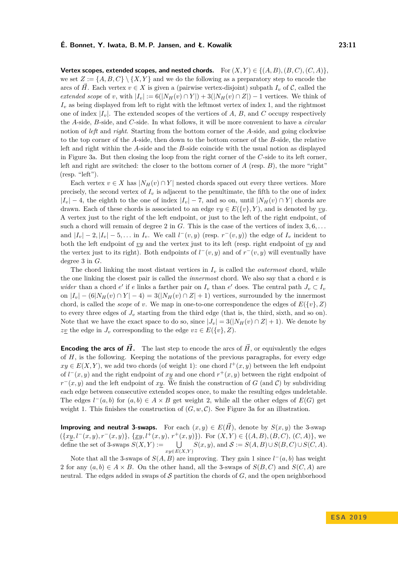**Vertex scopes, extended scopes, and nested chords.** For  $(X, Y) \in \{(A, B), (B, C), (C, A)\}$ , we set  $Z := \{A, B, C\} \setminus \{X, Y\}$  and we do the following as a preparatory step to encode the arcs of *H*. Each vertex  $v \in X$  is given a (pairwise vertex-disjoint) subpath  $I_v$  of C, called the *extended scope* of *v*, with  $|I_v| := 6(|N_H(v) \cap Y|) + 3(|N_H(v) \cap Z|) - 1$  vertices. We think of *I<sup>v</sup>* as being displayed from left to right with the leftmost vertex of index 1, and the rightmost one of index  $|I_v|$ . The extended scopes of the vertices of A, B, and C occupy respectively the *A*-side, *B*-side, and *C*-side. In what follows, it will be more convenient to have a *circular* notion of *left* and *right*. Starting from the bottom corner of the *A*-side, and going clockwise to the top corner of the *A*-side, then down to the bottom corner of the *B*-side, the relative left and right within the *A*-side and the *B*-side coincide with the usual notion as displayed in Figure [3a.](#page-11-0) But then closing the loop from the right corner of the *C*-side to its left corner, left and right are switched: the closer to the bottom corner of *A* (resp. *B*), the more "right"  $(resp. "left").$ 

Each vertex  $v \in X$  has  $|N_H(v) \cap Y|$  nested chords spaced out every three vertices. More precisely, the second vertex of  $I_v$  is adjacent to the penultimate, the fifth to the one of index  $|I_v| - 4$ , the eighth to the one of index  $|I_v| - 7$ , and so on, until  $|N_H(v) \cap Y|$  chords are drawn. Each of these chords is associated to an edge  $vy \in E({v}, Y)$ , and is denoted by  $vy$ . A vertex just to the right of the left endpoint, or just to the left of the right endpoint, of such a chord will remain of degree 2 in *G*. This is the case of the vertices of index 3*,* 6*, . . .* and  $|I_v| - 2$ ,  $|I_v| - 5$ ,... in  $I_v$ . We call  $l^-(v, y)$  (resp.  $r^-(v, y)$ ) the edge of  $I_v$  incident to both the left endpoint of *vy* and the vertex just to its left (resp. right endpoint of *vy* and the vertex just to its right). Both endpoints of  $l^-(v, y)$  and of  $r^-(v, y)$  will eventually have degree 3 in *G*.

The chord linking the most distant vertices in  $I<sub>v</sub>$  is called the *outermost* chord, while the one linking the closest pair is called the *innermost* chord. We also say that a chord *e* is *wider* than a chord *e*' if *e* links a farther pair on  $I_v$  than *e*' does. The central path  $J_v \subset I_v$ on  $|I_v| - (6|N_H(v) \cap Y| - 4) = 3(|N_H(v) \cap Z| + 1)$  vertices, surrounded by the innermost chord, is called the *scope* of *v*. We map in one-to-one correspondence the edges of  $E({v}, Z)$ to every three edges of  $J_v$  starting from the third edge (that is, the third, sixth, and so on). Note that we have the exact space to do so, since  $|J_v| = 3(|N_H(v) \cap Z| + 1)$ . We denote by *zv* the edge in *J<sub>v</sub>* corresponding to the edge  $vz \in E({v}, Z)$ .

**Encoding the arcs of**  $\vec{H}$ **.** The last step to encode the arcs of  $\vec{H}$ , or equivalently the edges of *H*, is the following. Keeping the notations of the previous paragraphs, for every edge  $xy \in E(X, Y)$ , we add two chords (of weight 1): one chord  $l^+(x, y)$  between the left endpoint of  $l^-(x, y)$  and the right endpoint of xy and one chord  $r^+(x, y)$  between the right endpoint of  $r^-(x, y)$  and the left endpoint of *xy*. We finish the construction of *G* (and *C*) by subdividing each edge between consecutive extended scopes once, to make the resulting edges undeletable. The edges  $l^-(a, b)$  for  $(a, b) \in A \times B$  get weight 2, while all the other edges of  $E(G)$  get weight 1. This finishes the construction of  $(G, w, C)$ . See Figure [3a](#page-11-0) for an illustration.

**Improving and neutral 3-swaps.** For each  $(x, y) \in E(\vec{H})$ , denote by  $S(x, y)$  the 3-swap  $({xy, l^-(x, y), r^-(x, y)}$ ,  $\{xy, l^+(x, y), r^+(x, y)}$ . For  $(X, Y) \in \{(A, B), (B, C), (C, A)\}$ , we define the set of 3-swaps  $S(X, Y) :=$ *xy*∈*E*(*X,Y* )  $S(x, y)$ , and  $S := S(A, B) \cup S(B, C) \cup S(C, A)$ .

Note that all the 3-swaps of  $S(A, B)$  are improving. They gain 1 since  $l^-(a, b)$  has weight 2 for any  $(a, b) \in A \times B$ . On the other hand, all the 3-swaps of  $S(B, C)$  and  $S(C, A)$  are neutral. The edges added in swaps of  $S$  partition the chords of  $G$ , and the open neighborhood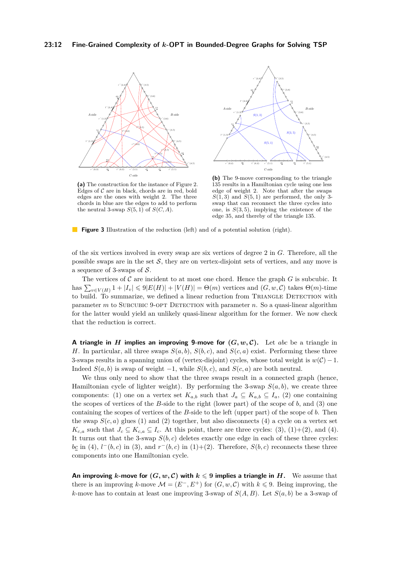<span id="page-11-0"></span>

**(a)** The construction for the instance of Figure [2.](#page-8-1) Edges of  $C$  are in black, chords are in red, bold edges are the ones with weight 2. The three chords in blue are the edges to add to perform the neutral 3-swap  $S(5,1)$  of  $S(C, A)$ .



**(b)** The 9-move corresponding to the triangle 135 results in a Hamiltonian cycle using one less edge of weight 2. Note that after the swaps  $S(1,3)$  and  $S(5,1)$  are performed, the only 3swap that can reconnect the three cycles into one, is  $S(3,5)$ , implying the existence of the edge 35, and thereby of the triangle 135.

**Figure 3** Illustration of the reduction (left) and of a potential solution (right).

of the six vertices involved in every swap are six vertices of degree 2 in *G*. Therefore, all the possible swaps are in the set  $S$ , they are on vertex-disjoint sets of vertices, and any move is a sequence of 3-swaps of S.

The vertices of  $\mathcal C$  are incident to at most one chord. Hence the graph  $G$  is subcubic. It has  $\sum_{v \in V(H)} 1 + |I_v| \le 9|E(H)| + |V(H)| = \Theta(m)$  vertices and  $(G, w, C)$  takes  $\Theta(m)$ -time to build. To summarize, we defined a linear reduction from TRIANGLE DETECTION with parameter  $m$  to SUBCUBIC 9-OPT DETECTION with parameter  $n$ . So a quasi-linear algorithm for the latter would yield an unlikely quasi-linear algorithm for the former. We now check that the reduction is correct.

**A** triangle in *H* implies an improving 9-move for  $(G, w, C)$ . Let abc be a triangle in *H*. In particular, all three swaps  $S(a, b)$ ,  $S(b, c)$ , and  $S(c, a)$  exist. Performing these three 3-swaps results in a spanning union of (vertex-disjoint) cycles, whose total weight is  $w(\mathcal{C}) - 1$ . Indeed  $S(a, b)$  is swap of weight  $-1$ , while  $S(b, c)$ , and  $S(c, a)$  are both neutral.

We thus only need to show that the three swaps result in a connected graph (hence, Hamiltonian cycle of lighter weight). By performing the 3-swap  $S(a, b)$ , we create three components: (1) one on a vertex set  $K_{a,b}$  such that  $J_a \subseteq K_{a,b} \subseteq I_a$ , (2) one containing the scopes of vertices of the *B*-side to the right (lower part) of the scope of *b*, and (3) one containing the scopes of vertices of the *B*-side to the left (upper part) of the scope of *b*. Then the swap  $S(c, a)$  glues (1) and (2) together, but also disconnects (4) a cycle on a vertex set  $K_{c,a}$  such that  $J_c \subseteq K_{c,a} \subseteq I_c$ . At this point, there are three cycles: (3), (1)+(2), and (4). It turns out that the 3-swap  $S(b, c)$  deletes exactly one edge in each of these three cycles:  $b\mathcal{L}$  in (4),  $l^-(b, c)$  in (3), and  $r^-(b, c)$  in (1)+(2). Therefore,  $S(b, c)$  reconnects these three components into one Hamiltonian cycle.

**An improving** *k***-move for**  $(G, w, C)$  **with**  $k \leq 9$  **implies a triangle in H.** We assume that there is an improving *k*-move  $\mathcal{M} = (E^-, E^+)$  for  $(G, w, \mathcal{C})$  with  $k \leq 9$ . Being improving, the *k*-move has to contain at least one improving 3-swap of  $S(A, B)$ . Let  $S(a, b)$  be a 3-swap of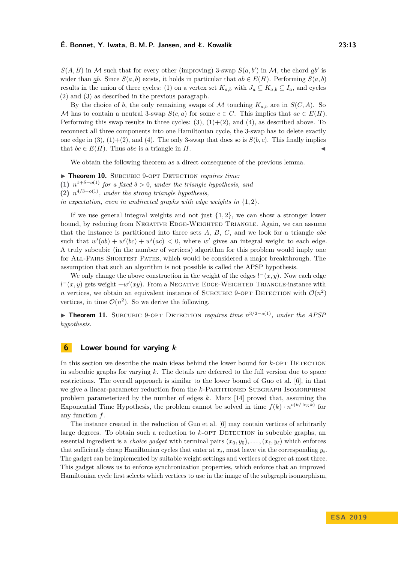# **É. Bonnet, Y. Iwata, B. M. P. Jansen, and Ł. Kowalik 23:13**

 $S(A, B)$  in M such that for every other (improving) 3-swap  $S(a, b')$  in M, the chord  $ab'$  is wider than *ab*. Since  $S(a, b)$  exists, it holds in particular that  $ab \in E(H)$ . Performing  $S(a, b)$ results in the union of three cycles: (1) on a vertex set  $K_{a,b}$  with  $J_a \subseteq K_{a,b} \subseteq I_a$ , and cycles (2) and (3) as described in the previous paragraph.

By the choice of *b*, the only remaining swaps of M touching  $K_{a,b}$  are in  $S(C, A)$ . So M has to contain a neutral 3-swap  $S(c, a)$  for some  $c \in C$ . This implies that  $ac \in E(H)$ . Performing this swap results in three cycles:  $(3)$ ,  $(1)+(2)$ , and  $(4)$ , as described above. To reconnect all three components into one Hamiltonian cycle, the 3-swap has to delete exactly one edge in  $(3)$ ,  $(1)+(2)$ , and  $(4)$ . The only 3-swap that does so is  $S(b, c)$ . This finally implies that  $bc \in E(H)$ . Thus *abc* is a triangle in *H*.

We obtain the following theorem as a direct consequence of the previous lemma.

 $\triangleright$  **Theorem 10.** SUBCUBIC 9-OPT DETECTION *requires time:* **(1)**  $n^{1+\delta-o(1)}$  for a fixed  $\delta > 0$ , under the triangle hypothesis, and **(2)** *n* <sup>4</sup>*/*3−*o*(1)*, under the strong triangle hypothesis,*

*in expectation, even in undirected graphs with edge weights in* {1*,* 2}*.*

If we use general integral weights and not just  $\{1, 2\}$ , we can show a stronger lower bound, by reducing from NEGATIVE EDGE-WEIGHTED TRIANGLE. Again, we can assume that the instance is partitioned into three sets *A*, *B*, *C*, and we look for a triangle *abc* such that  $w'(ab) + w'(bc) + w'(ac) < 0$ , where w' gives an integral weight to each edge. A truly subcubic (in the number of vertices) algorithm for this problem would imply one for All-Pairs Shortest Paths, which would be considered a major breakthrough. The assumption that such an algorithm is not possible is called the APSP hypothesis.

We only change the above construction in the weight of the edges  $l^-(x, y)$ . Now each edge  $l^-(x, y)$  gets weight  $-w'(xy)$ . From a NEGATIVE EDGE-WEIGHTED TRIANGLE-instance with *n* vertices, we obtain an equivalent instance of SUBCUBIC 9-OPT DETECTION with  $\mathcal{O}(n^2)$ vertices, in time  $\mathcal{O}(n^2)$ . So we derive the following.

I **Theorem 11.** Subcubic 9-opt Detection *requires time n* <sup>3</sup>*/*2−*o*(1)*, under the APSP hypothesis.*

# <span id="page-12-0"></span>**6 Lower bound for varying** *k*

In this section we describe the main ideas behind the lower bound for *k*-OPT DETECTION in subcubic graphs for varying *k*. The details are deferred to the full version due to space restrictions. The overall approach is similar to the lower bound of Guo et al. [\[6\]](#page-13-4), in that we give a linear-parameter reduction from the *k*-PARTITIONED SUBGRAPH ISOMORPHISM problem parameterized by the number of edges *k*. Marx [\[14\]](#page-13-15) proved that, assuming the Exponential Time Hypothesis, the problem cannot be solved in time  $f(k) \cdot n^{o(k/\log k)}$  for any function *f*.

The instance created in the reduction of Guo et al. [\[6\]](#page-13-4) may contain vertices of arbitrarily large degrees. To obtain such a reduction to  $k$ -OPT DETECTION in subcubic graphs, an essential ingredient is a *choice gadget* with terminal pairs  $(x_0, y_0), \ldots, (x_\ell, y_\ell)$  which enforces that sufficiently cheap Hamiltonian cycles that enter at  $x_i$ , must leave via the corresponding  $y_i$ . The gadget can be implemented by suitable weight settings and vertices of degree at most three. This gadget allows us to enforce synchronization properties, which enforce that an improved Hamiltonian cycle first selects which vertices to use in the image of the subgraph isomorphism,